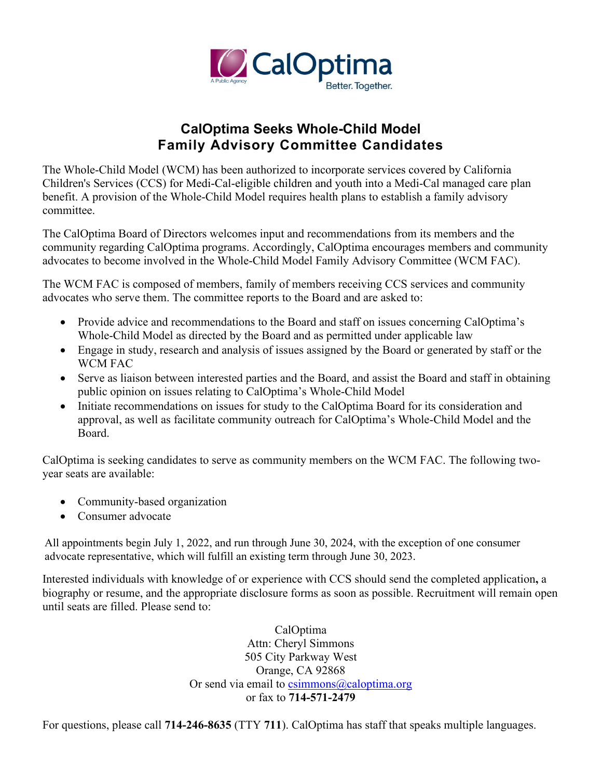

## **CalOptima Seeks Whole-Child Model Family Advisory Committee Candidates**

The Whole-Child Model (WCM) has been authorized to incorporate services covered by California Children's Services (CCS) for Medi-Cal-eligible children and youth into a Medi-Cal managed care plan benefit. A provision of the Whole-Child Model requires health plans to establish a family advisory committee.

The CalOptima Board of Directors welcomes input and recommendations from its members and the community regarding CalOptima programs. Accordingly, CalOptima encourages members and community advocates to become involved in the Whole-Child Model Family Advisory Committee (WCM FAC).

The WCM FAC is composed of members, family of members receiving CCS services and community advocates who serve them. The committee reports to the Board and are asked to:

- Provide advice and recommendations to the Board and staff on issues concerning CalOptima's Whole-Child Model as directed by the Board and as permitted under applicable law
- Engage in study, research and analysis of issues assigned by the Board or generated by staff or the WCM FAC
- Serve as liaison between interested parties and the Board, and assist the Board and staff in obtaining public opinion on issues relating to CalOptima's Whole-Child Model
- Initiate recommendations on issues for study to the CalOptima Board for its consideration and approval, as well as facilitate community outreach for CalOptima's Whole-Child Model and the Board.

CalOptima is seeking candidates to serve as community members on the WCM FAC. The following twoyear seats are available:

- Community-based organization
- Consumer advocate

All appointments begin July 1, 2022, and run through June 30, 2024, with the exception of one consumer advocate representative, which will fulfill an existing term through June 30, 2023.

Interested individuals with knowledge of or experience with CCS should send the completed application**,** a biography or resume, and the appropriate disclosure forms as soon as possible. Recruitment will remain open until seats are filled. Please send to:

> CalOptima Attn: Cheryl Simmons 505 City Parkway West Orange, CA 92868 Or send via email to  $csimmons@calophima.org$ or fax to **714-571-2479**

For questions, please call **714-246-8635** (TTY **711**). CalOptima has staff that speaks multiple languages.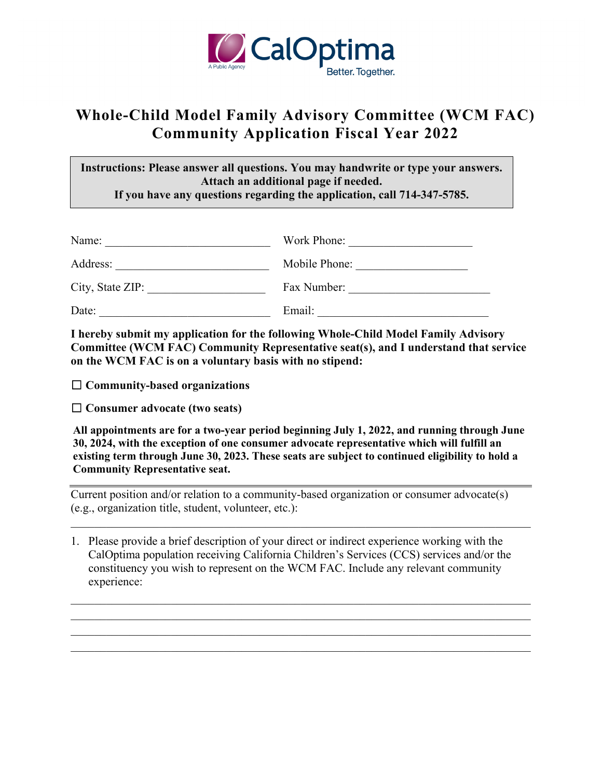

## **Whole-Child Model Family Advisory Committee (WCM FAC) Community Application Fiscal Year 2022**

**Instructions: Please answer all questions. You may handwrite or type your answers. Attach an additional page if needed. If you have any questions regarding the application, call 714-347-5785.** 

| Name:            | Work Phone:   |
|------------------|---------------|
| Address:         | Mobile Phone: |
| City, State ZIP: | Fax Number:   |
| Date:            | Email:        |

**I hereby submit my application for the following Whole-Child Model Family Advisory Committee (WCM FAC) Community Representative seat(s), and I understand that service on the WCM FAC is on a voluntary basis with no stipend:** 

☐ **Community-based organizations**

☐ **Consumer advocate (two seats)**

**All appointments are for a two-year period beginning July 1, 2022, and running through June 30, 2024, with the exception of one consumer advocate representative which will fulfill an existing term through June 30, 2023. These seats are subject to continued eligibility to hold a Community Representative seat.**

Current position and/or relation to a community-based organization or consumer advocate(s) (e.g., organization title, student, volunteer, etc.):

\_\_\_\_\_\_\_\_\_\_\_\_\_\_\_\_\_\_\_\_\_\_\_\_\_\_\_\_\_\_\_\_\_\_\_\_\_\_\_\_\_\_\_\_\_\_\_\_\_\_\_\_\_\_\_\_\_\_\_\_\_\_\_\_\_\_\_\_\_\_\_\_\_\_\_\_\_\_

\_\_\_\_\_\_\_\_\_\_\_\_\_\_\_\_\_\_\_\_\_\_\_\_\_\_\_\_\_\_\_\_\_\_\_\_\_\_\_\_\_\_\_\_\_\_\_\_\_\_\_\_\_\_\_\_\_\_\_\_\_\_\_\_\_\_\_\_\_\_\_\_\_\_\_\_\_\_ \_\_\_\_\_\_\_\_\_\_\_\_\_\_\_\_\_\_\_\_\_\_\_\_\_\_\_\_\_\_\_\_\_\_\_\_\_\_\_\_\_\_\_\_\_\_\_\_\_\_\_\_\_\_\_\_\_\_\_\_\_\_\_\_\_\_\_\_\_\_\_\_\_\_\_\_\_\_  $\_$  , and the set of the set of the set of the set of the set of the set of the set of the set of the set of the set of the set of the set of the set of the set of the set of the set of the set of the set of the set of th

1. Please provide a brief description of your direct or indirect experience working with the CalOptima population receiving California Children's Services (CCS) services and/or the constituency you wish to represent on the WCM FAC. Include any relevant community experience: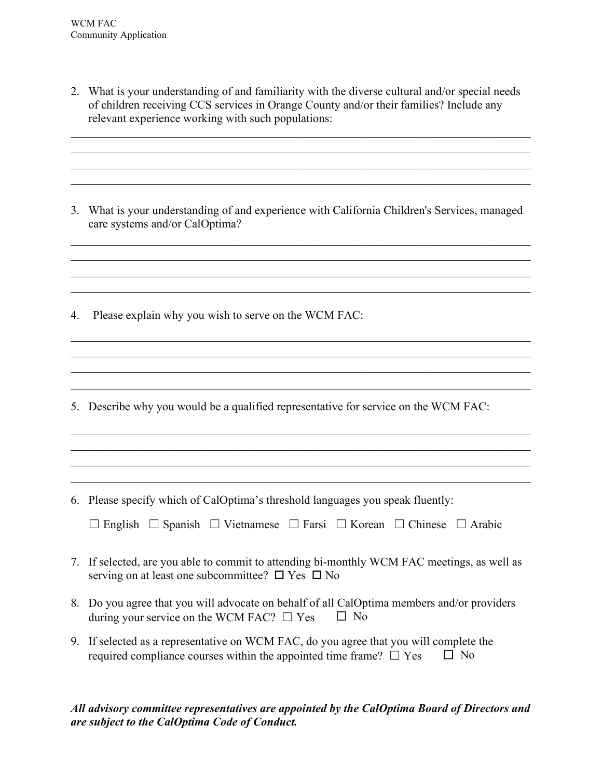2. What is your understanding of and familiarity with the diverse cultural and/or special needs of children receiving CCS services in Orange County and/or their families? Include any relevant experience working with such populations:

\_\_\_\_\_\_\_\_\_\_\_\_\_\_\_\_\_\_\_\_\_\_\_\_\_\_\_\_\_\_\_\_\_\_\_\_\_\_\_\_\_\_\_\_\_\_\_\_\_\_\_\_\_\_\_\_\_\_\_\_\_\_\_\_\_\_\_\_\_\_\_\_\_\_\_\_\_\_ \_\_\_\_\_\_\_\_\_\_\_\_\_\_\_\_\_\_\_\_\_\_\_\_\_\_\_\_\_\_\_\_\_\_\_\_\_\_\_\_\_\_\_\_\_\_\_\_\_\_\_\_\_\_\_\_\_\_\_\_\_\_\_\_\_\_\_\_\_\_\_\_\_\_\_\_\_\_

3. What is your understanding of and experience with California Children's Services, managed care systems and/or CalOptima?

\_\_\_\_\_\_\_\_\_\_\_\_\_\_\_\_\_\_\_\_\_\_\_\_\_\_\_\_\_\_\_\_\_\_\_\_\_\_\_\_\_\_\_\_\_\_\_\_\_\_\_\_\_\_\_\_\_\_\_\_\_\_\_\_\_\_\_\_\_\_\_\_\_\_\_\_\_\_ \_\_\_\_\_\_\_\_\_\_\_\_\_\_\_\_\_\_\_\_\_\_\_\_\_\_\_\_\_\_\_\_\_\_\_\_\_\_\_\_\_\_\_\_\_\_\_\_\_\_\_\_\_\_\_\_\_\_\_\_\_\_\_\_\_\_\_\_\_\_\_\_\_\_\_\_\_\_

\_\_\_\_\_\_\_\_\_\_\_\_\_\_\_\_\_\_\_\_\_\_\_\_\_\_\_\_\_\_\_\_\_\_\_\_\_\_\_\_\_\_\_\_\_\_\_\_\_\_\_\_\_\_\_\_\_\_\_\_\_\_\_\_\_\_\_\_\_\_\_\_\_\_\_\_\_\_ \_\_\_\_\_\_\_\_\_\_\_\_\_\_\_\_\_\_\_\_\_\_\_\_\_\_\_\_\_\_\_\_\_\_\_\_\_\_\_\_\_\_\_\_\_\_\_\_\_\_\_\_\_\_\_\_\_\_\_\_\_\_\_\_\_\_\_\_\_\_\_\_\_\_\_\_\_\_  $\_$  , and the contribution of the contribution of the contribution of the contribution of  $\mathcal{L}_\text{max}$ 

4. Please explain why you wish to serve on the WCM FAC:

5. Describe why you would be a qualified representative for service on the WCM FAC:

6. Please specify which of CalOptima's threshold languages you speak fluently:

\_\_\_\_\_\_\_\_\_\_\_\_\_\_\_\_\_\_\_\_\_\_\_\_\_\_\_\_\_\_\_\_\_\_\_\_\_\_\_\_\_\_\_\_\_\_\_\_\_\_\_\_\_\_\_\_\_\_\_\_\_\_\_\_\_\_\_\_\_\_\_\_\_\_\_\_\_\_ \_\_\_\_\_\_\_\_\_\_\_\_\_\_\_\_\_\_\_\_\_\_\_\_\_\_\_\_\_\_\_\_\_\_\_\_\_\_\_\_\_\_\_\_\_\_\_\_\_\_\_\_\_\_\_\_\_\_\_\_\_\_\_\_\_\_\_\_\_\_\_\_\_\_\_\_\_\_  $\_$  , and the set of the set of the set of the set of the set of the set of the set of the set of the set of the set of the set of the set of the set of the set of the set of the set of the set of the set of the set of th

- 7. If selected, are you able to commit to attending bi-monthly WCM FAC meetings, as well as serving on at least one subcommittee?  $\Box$  Yes  $\Box$  No
- 8. Do you agree that you will advocate on behalf of all CalOptima members and/or providers during your service on the WCM FAC?  $\Box$  Yes  $\Box$  No
- 9. If selected as a representative on WCM FAC, do you agree that you will complete the required compliance courses within the appointed time frame?  $\Box$  Yes  $\Box$  No

*All advisory committee representatives are appointed by the CalOptima Board of Directors and are subject to the CalOptima Code of Conduct.*